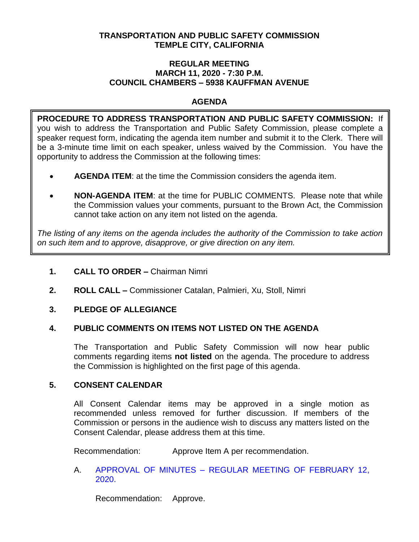## **TRANSPORTATION AND PUBLIC SAFETY COMMISSION TEMPLE CITY, CALIFORNIA**

#### **REGULAR MEETING MARCH 11, 2020 - 7:30 P.M. COUNCIL CHAMBERS – 5938 KAUFFMAN AVENUE**

## **AGENDA**

**PROCEDURE TO ADDRESS TRANSPORTATION AND PUBLIC SAFETY COMMISSION:** If you wish to address the Transportation and Public Safety Commission, please complete a speaker request form, indicating the agenda item number and submit it to the Clerk. There will be a 3-minute time limit on each speaker, unless waived by the Commission. You have the opportunity to address the Commission at the following times:

- **AGENDA ITEM**: at the time the Commission considers the agenda item.
- **NON-AGENDA ITEM**: at the time for PUBLIC COMMENTS. Please note that while the Commission values your comments, pursuant to the Brown Act, the Commission cannot take action on any item not listed on the agenda.

*The listing of any items on the agenda includes the authority of the Commission to take action on such item and to approve, disapprove, or give direction on any item.*

## **1. CALL TO ORDER –** Chairman Nimri

**2. ROLL CALL –** Commissioner Catalan, Palmieri, Xu, Stoll, Nimri

## **3. PLEDGE OF ALLEGIANCE**

## **4. PUBLIC COMMENTS ON ITEMS NOT LISTED ON THE AGENDA**

The Transportation and Public Safety Commission will now hear public comments regarding items **not listed** on the agenda. The procedure to address the Commission is highlighted on the first page of this agenda.

## **5. CONSENT CALENDAR**

All Consent Calendar items may be approved in a single motion as recommended unless removed for further discussion. If members of the Commission or persons in the audience wish to discuss any matters listed on the Consent Calendar, please address them at this time.

Recommendation: Approve Item A per recommendation.

## A. APPROVAL OF MINUTES – [REGULAR MEETING OF FEBRUARY 12,](/DocumentCenter/View/14008/TPSC-min-2020-02-12)  [2020.](/DocumentCenter/View/14008/TPSC-min-2020-02-12)

Recommendation: Approve.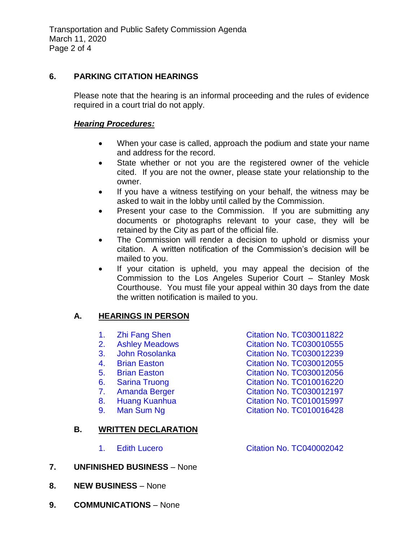## **6. PARKING CITATION HEARINGS**

Please note that the hearing is an informal proceeding and the rules of evidence required in a court trial do not apply.

### *Hearing Procedures:*

- When your case is called, approach the podium and state your name and address for the record.
- State whether or not you are the registered owner of the vehicle cited. If you are not the owner, please state your relationship to the owner.
- If you have a witness testifying on your behalf, the witness may be asked to wait in the lobby until called by the Commission.
- Present your case to the Commission. If you are submitting any documents or photographs relevant to your case, they will be retained by the City as part of the official file.
- The Commission will render a decision to uphold or dismiss your citation. A written notification of the Commission's decision will be mailed to you.
- If your citation is upheld, you may appeal the decision of the Commission to the Los Angeles Superior Court – Stanley Mosk Courthouse. You must file your appeal within 30 days from the date the written notification is mailed to you.

# **A. HEARINGS IN PERSON**

|    | 1. | <b>Zhi Fang Shen</b>       | <b>Citation No. TC030011822</b> |
|----|----|----------------------------|---------------------------------|
|    | 2. | <b>Ashley Meadows</b>      | <b>Citation No. TC030010555</b> |
|    | 3. | <b>John Rosolanka</b>      | <b>Citation No. TC030012239</b> |
|    | 4. | <b>Brian Easton</b>        | <b>Citation No. TC030012055</b> |
|    | 5. | <b>Brian Easton</b>        | <b>Citation No. TC030012056</b> |
|    | 6. | <b>Sarina Truong</b>       | <b>Citation No. TC010016220</b> |
|    | 7. | <b>Amanda Berger</b>       | <b>Citation No. TC030012197</b> |
|    | 8. | <b>Huang Kuanhua</b>       | Citation No. TC010015997        |
|    | 9. | Man Sum Ng                 | Citation No. TC010016428        |
|    |    |                            |                                 |
| В. |    | <b>WRITTEN DECLARATION</b> |                                 |
|    |    |                            |                                 |
|    |    | <b>Edith Lucero</b>        | <b>Citation No. TC040002042</b> |
|    |    |                            |                                 |

- **7. UNFINISHED BUSINESS** None
- **8. NEW BUSINESS** None
- **9. COMMUNICATIONS** None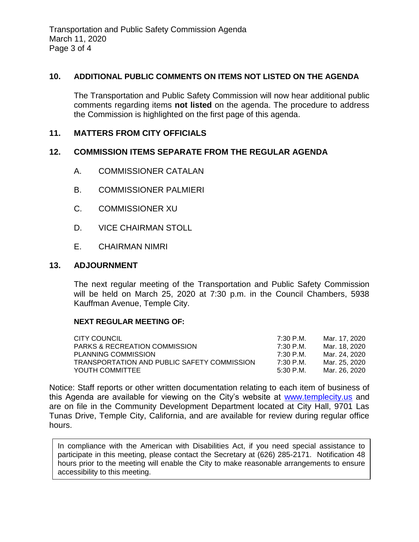## **10. ADDITIONAL PUBLIC COMMENTS ON ITEMS NOT LISTED ON THE AGENDA**

The Transportation and Public Safety Commission will now hear additional public comments regarding items **not listed** on the agenda. The procedure to address the Commission is highlighted on the first page of this agenda.

### **11. MATTERS FROM CITY OFFICIALS**

### **12. COMMISSION ITEMS SEPARATE FROM THE REGULAR AGENDA**

- A. COMMISSIONER CATALAN
- B. COMMISSIONER PALMIERI
- C. COMMISSIONER XU
- D. VICE CHAIRMAN STOLL
- E. CHAIRMAN NIMRI

### **13. ADJOURNMENT**

The next regular meeting of the Transportation and Public Safety Commission will be held on March 25, 2020 at 7:30 p.m. in the Council Chambers, 5938 Kauffman Avenue, Temple City.

#### **NEXT REGULAR MEETING OF:**

| CITY COUNCIL                                | 7:30 P.M.   | Mar. 17. 2020 |
|---------------------------------------------|-------------|---------------|
| <b>PARKS &amp; RECREATION COMMISSION</b>    | 7:30 P.M.   | Mar. 18. 2020 |
| PLANNING COMMISSION                         | 7:30 P.M.   | Mar. 24. 2020 |
| TRANSPORTATION AND PUBLIC SAFETY COMMISSION | 7:30 P.M.   | Mar. 25. 2020 |
| YOUTH COMMITTEE                             | $5:30$ P.M. | Mar. 26. 2020 |

Notice: Staff reports or other written documentation relating to each item of business of this Agenda are available for viewing on the City's website at [www.templecity.us](http://www.templecity.us/) and are on file in the Community Development Department located at City Hall, 9701 Las Tunas Drive, Temple City, California, and are available for review during regular office hours.

In compliance with the American with Disabilities Act, if you need special assistance to participate in this meeting, please contact the Secretary at (626) 285-2171. Notification 48 hours prior to the meeting will enable the City to make reasonable arrangements to ensure accessibility to this meeting.